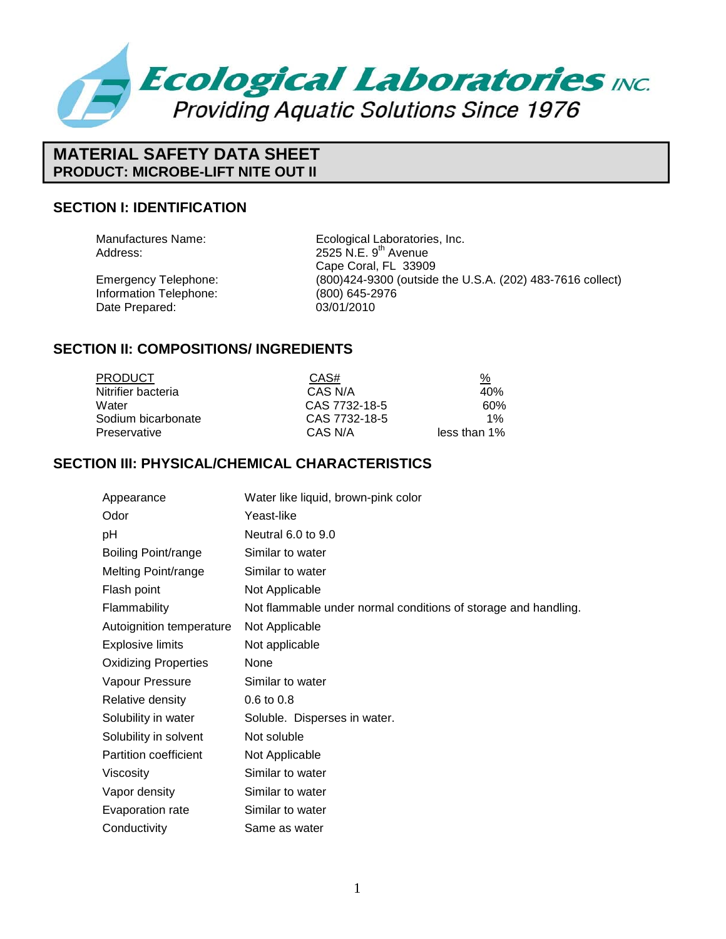

# **MATERIAL SAFETY DATA SHEET PRODUCT: MICROBE-LIFT NITE OUT II**

#### **SECTION I: IDENTIFICATION**

Information Telephone: (800) 645-2976<br>Date Prepared: 03/01/2010 Date Prepared:

Manufactures Name: Ecological Laboratories, Inc. Address: 2525 N.E. 9<sup>th</sup> Avenue Cape Coral, FL 33909 Emergency Telephone: (800)424-9300 (outside the U.S.A. (202) 483-7616 collect)

#### **SECTION II: COMPOSITIONS/ INGREDIENTS**

| <b>PRODUCT</b>     | CAS#          | <u>%</u>     |
|--------------------|---------------|--------------|
| Nitrifier bacteria | CAS N/A       | 40%          |
| Water              | CAS 7732-18-5 | 60%          |
| Sodium bicarbonate | CAS 7732-18-5 | $1\%$        |
| Preservative       | CAS N/A       | less than 1% |

#### **SECTION III: PHYSICAL/CHEMICAL CHARACTERISTICS**

| Appearance                  | Water like liquid, brown-pink color                            |
|-----------------------------|----------------------------------------------------------------|
| Odor                        | Yeast-like                                                     |
| рH                          | Neutral 6.0 to 9.0                                             |
| Boiling Point/range         | Similar to water                                               |
| Melting Point/range         | Similar to water                                               |
| Flash point                 | Not Applicable                                                 |
| Flammability                | Not flammable under normal conditions of storage and handling. |
| Autoignition temperature    | Not Applicable                                                 |
| <b>Explosive limits</b>     | Not applicable                                                 |
| <b>Oxidizing Properties</b> | None                                                           |
| Vapour Pressure             | Similar to water                                               |
| Relative density            | $0.6 \text{ to } 0.8$                                          |
| Solubility in water         | Soluble. Disperses in water.                                   |
| Solubility in solvent       | Not soluble                                                    |
| Partition coefficient       | Not Applicable                                                 |
| Viscosity                   | Similar to water                                               |
| Vapor density               | Similar to water                                               |
| Evaporation rate            | Similar to water                                               |
| Conductivity                | Same as water                                                  |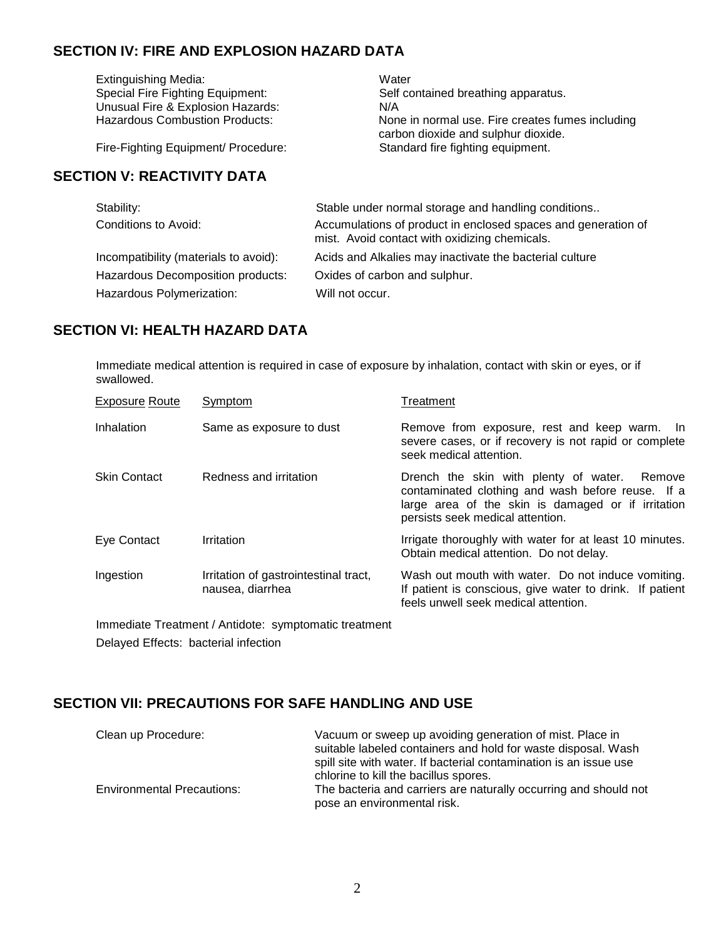## **SECTION IV: FIRE AND EXPLOSION HAZARD DATA**

Extinguishing Media:<br>
Special Fire Fighting Equipment:<br>
Self community Self contained breathing apparatus. Unusual Fire & Explosion Hazards: N/A<br>Hazardous Combustion Products: Non None in normal use. Fire creates fumes including carbon dioxide and sulphur dioxide. Fire-Fighting Equipment/ Procedure: Standard fire fighting equipment.

### **SECTION V: REACTIVITY DATA**

| Stability:                            | Stable under normal storage and handling conditions                                                            |
|---------------------------------------|----------------------------------------------------------------------------------------------------------------|
| Conditions to Avoid:                  | Accumulations of product in enclosed spaces and generation of<br>mist. Avoid contact with oxidizing chemicals. |
| Incompatibility (materials to avoid): | Acids and Alkalies may inactivate the bacterial culture                                                        |
| Hazardous Decomposition products:     | Oxides of carbon and sulphur.                                                                                  |
| Hazardous Polymerization:             | Will not occur.                                                                                                |

#### **SECTION VI: HEALTH HAZARD DATA**

Immediate medical attention is required in case of exposure by inhalation, contact with skin or eyes, or if swallowed.

| <b>Exposure Route</b> | Symptom                                                   | Treatment                                                                                                                                                                                      |
|-----------------------|-----------------------------------------------------------|------------------------------------------------------------------------------------------------------------------------------------------------------------------------------------------------|
| Inhalation            | Same as exposure to dust                                  | Remove from exposure, rest and keep warm. In<br>severe cases, or if recovery is not rapid or complete<br>seek medical attention.                                                               |
| <b>Skin Contact</b>   | Redness and irritation                                    | Drench the skin with plenty of water.<br>Remove<br>contaminated clothing and wash before reuse. If a<br>large area of the skin is damaged or if irritation<br>persists seek medical attention. |
| Eye Contact           | Irritation                                                | Irrigate thoroughly with water for at least 10 minutes.<br>Obtain medical attention. Do not delay.                                                                                             |
| Ingestion             | Irritation of gastrointestinal tract,<br>nausea, diarrhea | Wash out mouth with water. Do not induce vomiting.<br>If patient is conscious, give water to drink. If patient<br>feels unwell seek medical attention.                                         |

Immediate Treatment / Antidote: symptomatic treatment Delayed Effects: bacterial infection

### **SECTION VII: PRECAUTIONS FOR SAFE HANDLING AND USE**

| Clean up Procedure:               | Vacuum or sweep up avoiding generation of mist. Place in<br>suitable labeled containers and hold for waste disposal. Wash<br>spill site with water. If bacterial contamination is an issue use<br>chlorine to kill the bacillus spores. |
|-----------------------------------|-----------------------------------------------------------------------------------------------------------------------------------------------------------------------------------------------------------------------------------------|
| <b>Environmental Precautions:</b> | The bacteria and carriers are naturally occurring and should not<br>pose an environmental risk.                                                                                                                                         |